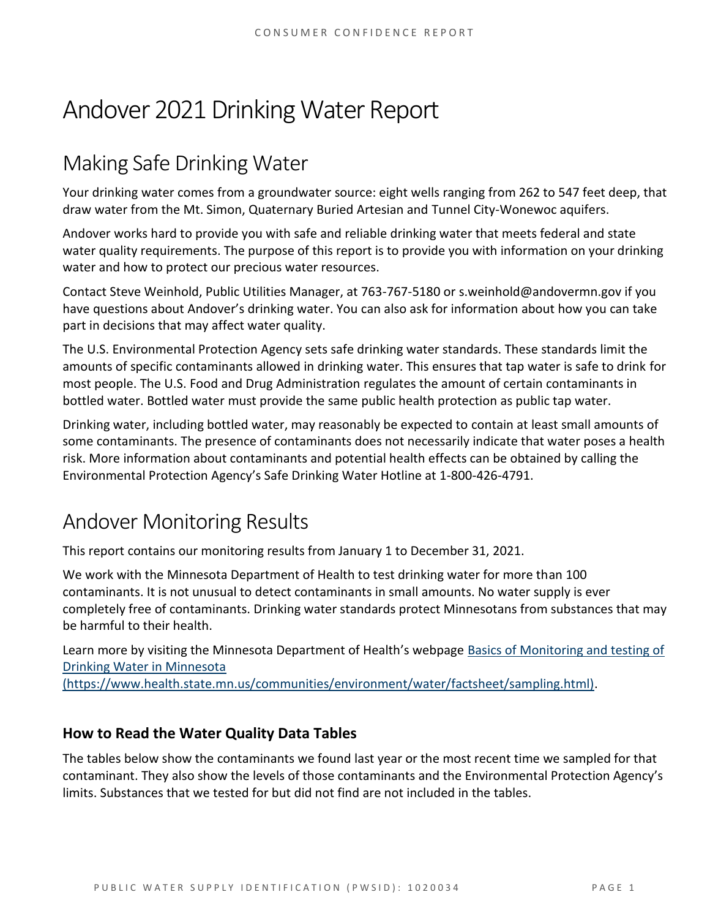# Andover 2021 Drinking Water Report

# Making Safe Drinking Water

Your drinking water comes from a groundwater source: eight wells ranging from 262 to 547 feet deep, that draw water from the Mt. Simon, Quaternary Buried Artesian and Tunnel City-Wonewoc aquifers.

Andover works hard to provide you with safe and reliable drinking water that meets federal and state water quality requirements. The purpose of this report is to provide you with information on your drinking water and how to protect our precious water resources.

Contact Steve Weinhold, Public Utilities Manager, at 763-767-5180 or s.weinhold@andovermn.gov if you have questions about Andover's drinking water. You can also ask for information about how you can take part in decisions that may affect water quality.

The U.S. Environmental Protection Agency sets safe drinking water standards. These standards limit the amounts of specific contaminants allowed in drinking water. This ensures that tap water is safe to drink for most people. The U.S. Food and Drug Administration regulates the amount of certain contaminants in bottled water. Bottled water must provide the same public health protection as public tap water.

Drinking water, including bottled water, may reasonably be expected to contain at least small amounts of some contaminants. The presence of contaminants does not necessarily indicate that water poses a health risk. More information about contaminants and potential health effects can be obtained by calling the Environmental Protection Agency's Safe Drinking Water Hotline at 1-800-426-4791.

# Andover Monitoring Results

This report contains our monitoring results from January 1 to December 31, 2021.

We work with the Minnesota Department of Health to test drinking water for more than 100 contaminants. It is not unusual to detect contaminants in small amounts. No water supply is ever completely free of contaminants. Drinking water standards protect Minnesotans from substances that may be harmful to their health.

Learn more by visiting the Minnesota Department of Health's webpage [Basics of Monitoring and testing of](https://www.health.state.mn.us/communities/environment/water/factsheet/sampling.html)  [Drinking Water in Minnesota](https://www.health.state.mn.us/communities/environment/water/factsheet/sampling.html) 

[\(https://www.health.state.mn.us/communities/environment/water/factsheet/sampling.html\).](https://www.health.state.mn.us/communities/environment/water/factsheet/sampling.html)

### **How to Read the Water Quality Data Tables**

The tables below show the contaminants we found last year or the most recent time we sampled for that contaminant. They also show the levels of those contaminants and the Environmental Protection Agency's limits. Substances that we tested for but did not find are not included in the tables.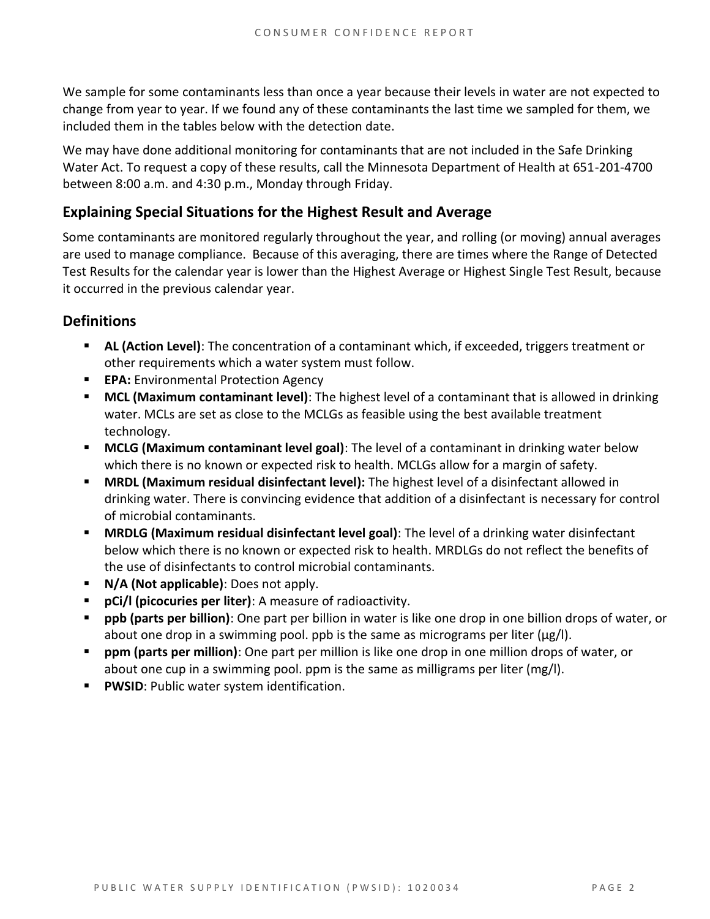We sample for some contaminants less than once a year because their levels in water are not expected to change from year to year. If we found any of these contaminants the last time we sampled for them, we included them in the tables below with the detection date.

We may have done additional monitoring for contaminants that are not included in the Safe Drinking Water Act. To request a copy of these results, call the Minnesota Department of Health at 651-201-4700 between 8:00 a.m. and 4:30 p.m., Monday through Friday.

### **Explaining Special Situations for the Highest Result and Average**

Some contaminants are monitored regularly throughout the year, and rolling (or moving) annual averages are used to manage compliance. Because of this averaging, there are times where the Range of Detected Test Results for the calendar year is lower than the Highest Average or Highest Single Test Result, because it occurred in the previous calendar year.

### **Definitions**

- **EXECT AL (Action Level):** The concentration of a contaminant which, if exceeded, triggers treatment or other requirements which a water system must follow.
- **EPA:** Environmental Protection Agency
- **E** MCL (Maximum contaminant level): The highest level of a contaminant that is allowed in drinking water. MCLs are set as close to the MCLGs as feasible using the best available treatment technology.
- **EXTED MCLG (Maximum contaminant level goal)**: The level of a contaminant in drinking water below which there is no known or expected risk to health. MCLGs allow for a margin of safety.
- **MRDL (Maximum residual disinfectant level):** The highest level of a disinfectant allowed in drinking water. There is convincing evidence that addition of a disinfectant is necessary for control of microbial contaminants.
- **MRDLG (Maximum residual disinfectant level goal)**: The level of a drinking water disinfectant below which there is no known or expected risk to health. MRDLGs do not reflect the benefits of the use of disinfectants to control microbial contaminants.
- **N/A (Not applicable)**: Does not apply.
- **pCi/l (picocuries per liter)**: A measure of radioactivity.
- **ppb (parts per billion)**: One part per billion in water is like one drop in one billion drops of water, or about one drop in a swimming pool. ppb is the same as micrograms per liter ( $\mu$ g/l).
- **ppm (parts per million)**: One part per million is like one drop in one million drops of water, or about one cup in a swimming pool. ppm is the same as milligrams per liter (mg/l).
- **PWSID: Public water system identification.**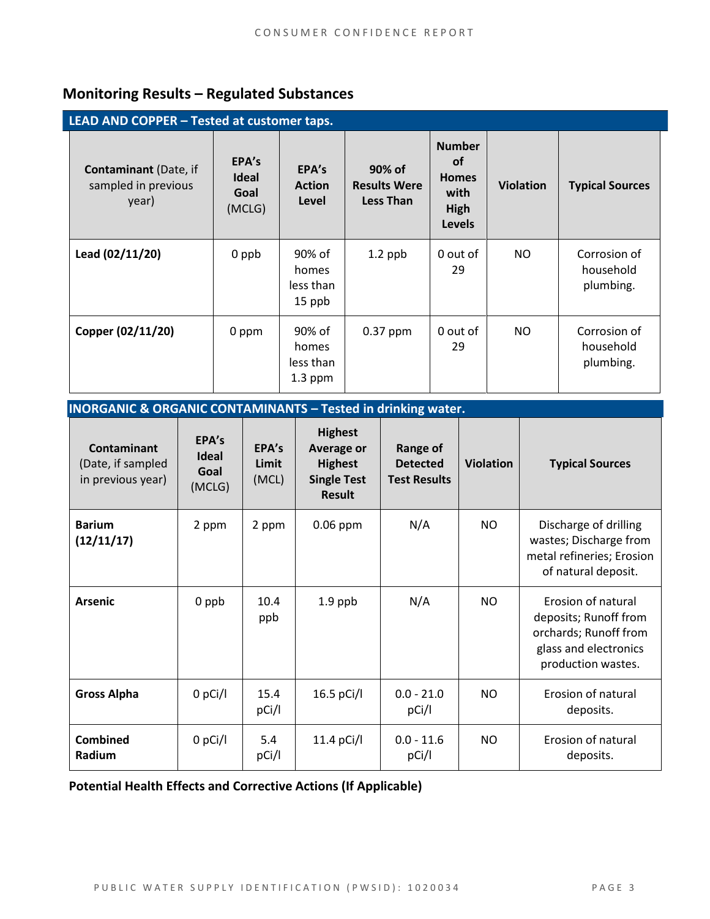### **Monitoring Results – Regulated Substances**

| LEAD AND COPPER - Tested at customer taps.                   |                                         |                                           |                                                   |                                                                             |                  |                                        |  |
|--------------------------------------------------------------|-----------------------------------------|-------------------------------------------|---------------------------------------------------|-----------------------------------------------------------------------------|------------------|----------------------------------------|--|
| <b>Contaminant</b> (Date, if<br>sampled in previous<br>year) | EPA's<br><b>Ideal</b><br>Goal<br>(MCLG) | EPA's<br><b>Action</b><br>Level           | 90% of<br><b>Results Were</b><br><b>Less Than</b> | <b>Number</b><br><b>of</b><br><b>Homes</b><br>with<br>High<br><b>Levels</b> | <b>Violation</b> | <b>Typical Sources</b>                 |  |
| Lead (02/11/20)                                              | 0 ppb                                   | 90% of<br>homes<br>less than<br>15 ppb    | $1.2$ ppb                                         | 0 out of<br>29                                                              | NO.              | Corrosion of<br>household<br>plumbing. |  |
| Copper (02/11/20)                                            | 0 ppm                                   | 90% of<br>homes<br>less than<br>$1.3$ ppm | 0.37 ppm                                          | 0 out of<br>29                                                              | NO.              | Corrosion of<br>household<br>plumbing. |  |

| <b>INORGANIC &amp; ORGANIC CONTAMINANTS - Tested in drinking water.</b> |
|-------------------------------------------------------------------------|
|-------------------------------------------------------------------------|

| <b>Contaminant</b><br>(Date, if sampled<br>in previous year) | EPA's<br>Ideal<br>Goal<br>(MCLG) | EPA's<br>Limit<br>(MCL) | <b>Highest</b><br><b>Average or</b><br><b>Highest</b><br><b>Single Test</b><br><b>Result</b> | <b>Range of</b><br><b>Detected</b><br><b>Test Results</b> | <b>Violation</b> | <b>Typical Sources</b>                                                                                              |
|--------------------------------------------------------------|----------------------------------|-------------------------|----------------------------------------------------------------------------------------------|-----------------------------------------------------------|------------------|---------------------------------------------------------------------------------------------------------------------|
| <b>Barium</b><br>(12/11/17)                                  | 2 ppm                            | 2 ppm                   | $0.06$ ppm                                                                                   | N/A                                                       | NO               | Discharge of drilling<br>wastes; Discharge from<br>metal refineries; Erosion<br>of natural deposit.                 |
| <b>Arsenic</b>                                               | 0 ppb                            | 10.4<br>ppb             | $1.9$ ppb                                                                                    | N/A                                                       | <b>NO</b>        | Erosion of natural<br>deposits; Runoff from<br>orchards; Runoff from<br>glass and electronics<br>production wastes. |
| <b>Gross Alpha</b>                                           | 0 pCi/l                          | 15.4<br>pCi/l           | 16.5 pCi/l                                                                                   | $0.0 - 21.0$<br>pCi/l                                     | NO               | Erosion of natural<br>deposits.                                                                                     |
| <b>Combined</b><br><b>Radium</b>                             | $0$ pCi/l                        | 5.4<br>pCi/l            | 11.4 pCi/l                                                                                   | $0.0 - 11.6$<br>pCi/l                                     | <b>NO</b>        | Erosion of natural<br>deposits.                                                                                     |

**Potential Health Effects and Corrective Actions (If Applicable)**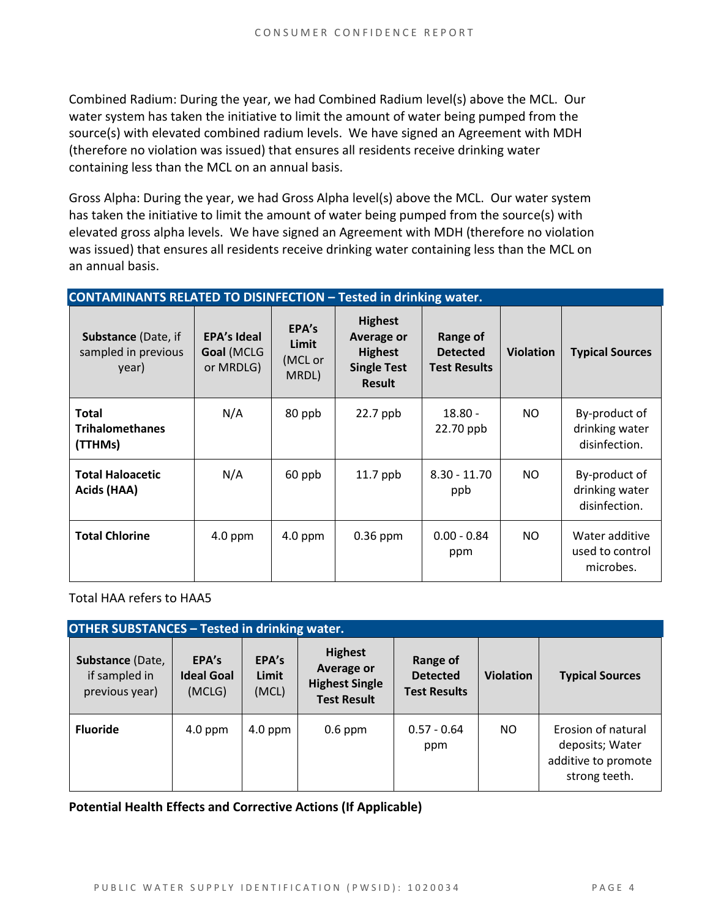Combined Radium: During the year, we had Combined Radium level(s) above the MCL. Our water system has taken the initiative to limit the amount of water being pumped from the source(s) with elevated combined radium levels. We have signed an Agreement with MDH (therefore no violation was issued) that ensures all residents receive drinking water containing less than the MCL on an annual basis.

Gross Alpha: During the year, we had Gross Alpha level(s) above the MCL. Our water system has taken the initiative to limit the amount of water being pumped from the source(s) with elevated gross alpha levels. We have signed an Agreement with MDH (therefore no violation was issued) that ensures all residents receive drinking water containing less than the MCL on an annual basis.

| <b>CONTAMINANTS RELATED TO DISINFECTION - Tested in drinking water.</b> |                                               |                                    |                                                                                              |                                                    |                  |                                                  |  |
|-------------------------------------------------------------------------|-----------------------------------------------|------------------------------------|----------------------------------------------------------------------------------------------|----------------------------------------------------|------------------|--------------------------------------------------|--|
| <b>Substance (Date, if</b><br>sampled in previous<br>year)              | <b>EPA's Ideal</b><br>Goal (MCLG<br>or MRDLG) | EPA's<br>Limit<br>(MCL or<br>MRDL) | <b>Highest</b><br><b>Average or</b><br><b>Highest</b><br><b>Single Test</b><br><b>Result</b> | Range of<br><b>Detected</b><br><b>Test Results</b> | <b>Violation</b> | <b>Typical Sources</b>                           |  |
| <b>Total</b><br><b>Trihalomethanes</b><br>(TTHMs)                       | N/A                                           | 80 ppb                             | 22.7 ppb                                                                                     | $18.80 -$<br>22.70 ppb                             | NO.              | By-product of<br>drinking water<br>disinfection. |  |
| <b>Total Haloacetic</b><br>Acids (HAA)                                  | N/A                                           | 60 ppb                             | $11.7$ ppb                                                                                   | $8.30 - 11.70$<br>ppb                              | NO.              | By-product of<br>drinking water<br>disinfection. |  |
| <b>Total Chlorine</b>                                                   | $4.0$ ppm                                     | $4.0$ ppm                          | $0.36$ ppm                                                                                   | $0.00 - 0.84$<br>ppm                               | <b>NO</b>        | Water additive<br>used to control<br>microbes.   |  |

Total HAA refers to HAA5

| <b>OTHER SUBSTANCES - Tested in drinking water.</b> |                                      |                         |                                                                             |                                                    |                  |                                                                               |  |  |
|-----------------------------------------------------|--------------------------------------|-------------------------|-----------------------------------------------------------------------------|----------------------------------------------------|------------------|-------------------------------------------------------------------------------|--|--|
| Substance (Date,<br>if sampled in<br>previous year) | EPA's<br><b>Ideal Goal</b><br>(MCLG) | EPA's<br>Limit<br>(MCL) | <b>Highest</b><br>Average or<br><b>Highest Single</b><br><b>Test Result</b> | Range of<br><b>Detected</b><br><b>Test Results</b> | <b>Violation</b> | <b>Typical Sources</b>                                                        |  |  |
| <b>Fluoride</b>                                     | $4.0$ ppm                            | $4.0$ ppm               | $0.6$ ppm                                                                   | $0.57 - 0.64$<br>ppm                               | NO.              | Erosion of natural<br>deposits; Water<br>additive to promote<br>strong teeth. |  |  |

**Potential Health Effects and Corrective Actions (If Applicable)**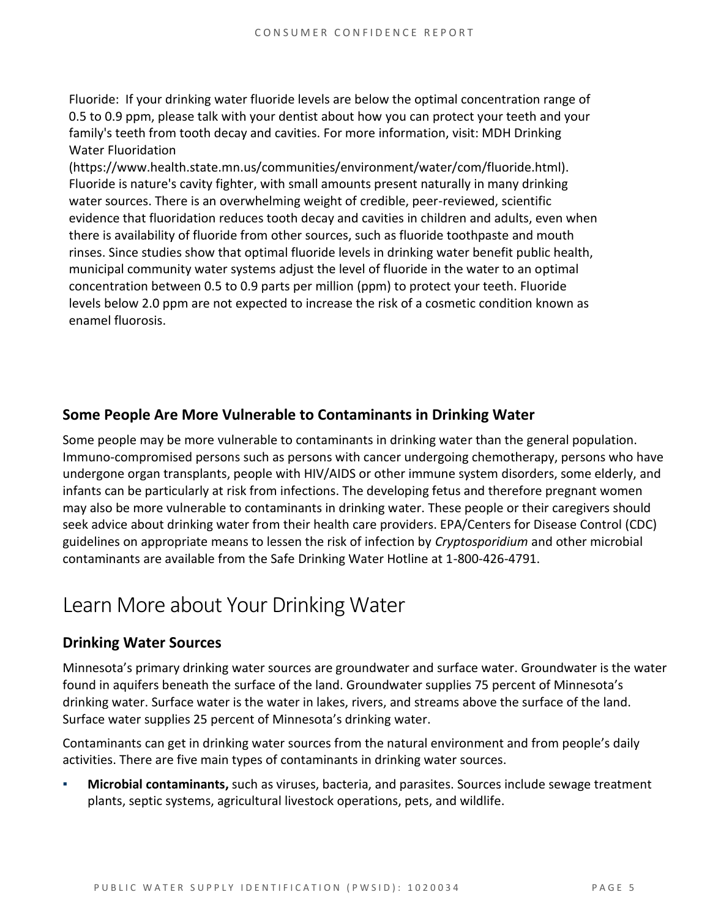Fluoride: If your drinking water fluoride levels are below the optimal concentration range of 0.5 to 0.9 ppm, please talk with your dentist about how you can protect your teeth and your family's teeth from tooth decay and cavities. For more information, visit: MDH Drinking Water Fluoridation

(https://www.health.state.mn.us/communities/environment/water/com/fluoride.html). Fluoride is nature's cavity fighter, with small amounts present naturally in many drinking water sources. There is an overwhelming weight of credible, peer-reviewed, scientific evidence that fluoridation reduces tooth decay and cavities in children and adults, even when there is availability of fluoride from other sources, such as fluoride toothpaste and mouth rinses. Since studies show that optimal fluoride levels in drinking water benefit public health, municipal community water systems adjust the level of fluoride in the water to an optimal concentration between 0.5 to 0.9 parts per million (ppm) to protect your teeth. Fluoride levels below 2.0 ppm are not expected to increase the risk of a cosmetic condition known as enamel fluorosis.

### **Some People Are More Vulnerable to Contaminants in Drinking Water**

Some people may be more vulnerable to contaminants in drinking water than the general population. Immuno-compromised persons such as persons with cancer undergoing chemotherapy, persons who have undergone organ transplants, people with HIV/AIDS or other immune system disorders, some elderly, and infants can be particularly at risk from infections. The developing fetus and therefore pregnant women may also be more vulnerable to contaminants in drinking water. These people or their caregivers should seek advice about drinking water from their health care providers. EPA/Centers for Disease Control (CDC) guidelines on appropriate means to lessen the risk of infection by *Cryptosporidium* and other microbial contaminants are available from the Safe Drinking Water Hotline at 1-800-426-4791.

### Learn More about Your Drinking Water

### **Drinking Water Sources**

Minnesota's primary drinking water sources are groundwater and surface water. Groundwater is the water found in aquifers beneath the surface of the land. Groundwater supplies 75 percent of Minnesota's drinking water. Surface water is the water in lakes, rivers, and streams above the surface of the land. Surface water supplies 25 percent of Minnesota's drinking water.

Contaminants can get in drinking water sources from the natural environment and from people's daily activities. There are five main types of contaminants in drinking water sources.

Microbial contaminants, such as viruses, bacteria, and parasites. Sources include sewage treatment plants, septic systems, agricultural livestock operations, pets, and wildlife.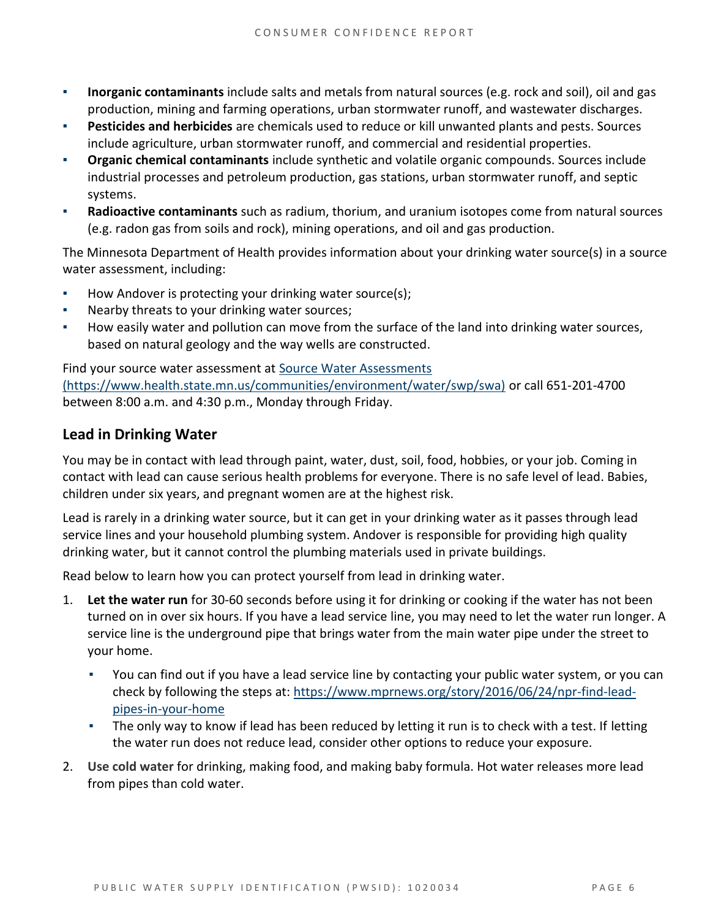- **Inorganic contaminants** include salts and metals from natural sources (e.g. rock and soil), oil and gas production, mining and farming operations, urban stormwater runoff, and wastewater discharges.
- **Pesticides and herbicides** are chemicals used to reduce or kill unwanted plants and pests. Sources include agriculture, urban stormwater runoff, and commercial and residential properties.
- **Organic chemical contaminants** include synthetic and volatile organic compounds. Sources include industrial processes and petroleum production, gas stations, urban stormwater runoff, and septic systems.
- Radioactive contaminants such as radium, thorium, and uranium isotopes come from natural sources (e.g. radon gas from soils and rock), mining operations, and oil and gas production.

The Minnesota Department of Health provides information about your drinking water source(s) in a source water assessment, including:

- How Andover is protecting your drinking water source(s);
- Nearby threats to your drinking water sources;
- How easily water and pollution can move from the surface of the land into drinking water sources, based on natural geology and the way wells are constructed.

Find your source water assessment at [Source Water Assessments](https://www.health.state.mn.us/communities/environment/water/swp/swa)  [\(https://www.health.state.mn.us/communities/environment/water/swp/swa\)](https://www.health.state.mn.us/communities/environment/water/swp/swa) or call 651-201-4700 between 8:00 a.m. and 4:30 p.m., Monday through Friday.

### **Lead in Drinking Water**

You may be in contact with lead through paint, water, dust, soil, food, hobbies, or your job. Coming in contact with lead can cause serious health problems for everyone. There is no safe level of lead. Babies, children under six years, and pregnant women are at the highest risk.

Lead is rarely in a drinking water source, but it can get in your drinking water as it passes through lead service lines and your household plumbing system. Andover is responsible for providing high quality drinking water, but it cannot control the plumbing materials used in private buildings.

Read below to learn how you can protect yourself from lead in drinking water.

- 1. **Let the water run** for 30-60 seconds before using it for drinking or cooking if the water has not been turned on in over six hours. If you have a lead service line, you may need to let the water run longer. A service line is the underground pipe that brings water from the main water pipe under the street to your home.
	- You can find out if you have a lead service line by contacting your public water system, or you can check by following the steps at: [https://www.mprnews.org/story/2016/06/24/npr-find-lead](https://www.mprnews.org/story/2016/06/24/npr-find-lead-pipes-in-your-home)[pipes-in-your-home](https://www.mprnews.org/story/2016/06/24/npr-find-lead-pipes-in-your-home)
	- The only way to know if lead has been reduced by letting it run is to check with a test. If letting the water run does not reduce lead, consider other options to reduce your exposure.
- 2. **Use cold water** for drinking, making food, and making baby formula. Hot water releases more lead from pipes than cold water.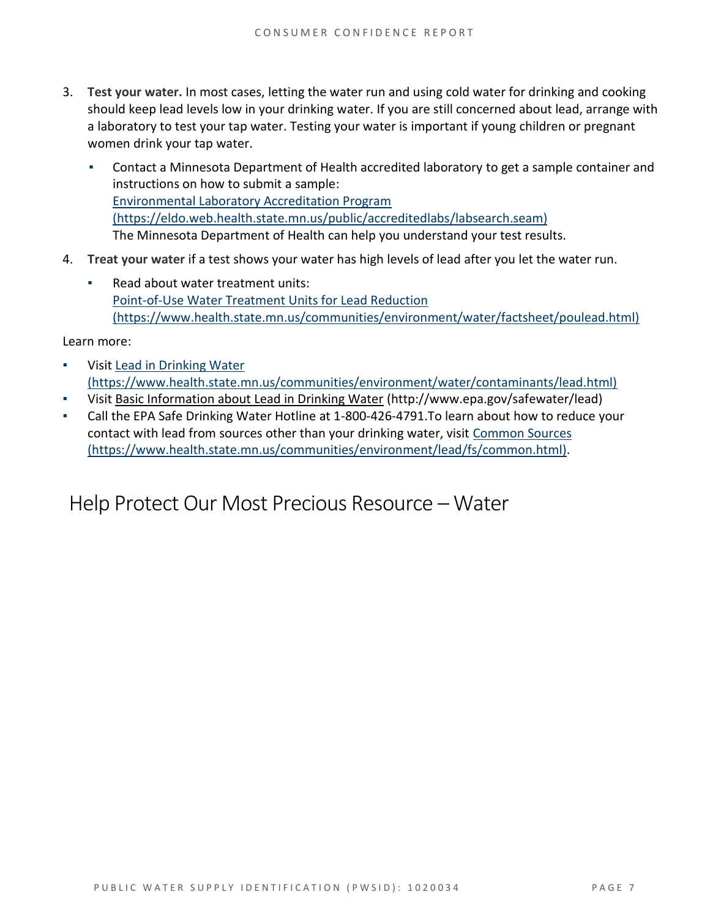- 3. **Test your water.** In most cases, letting the water run and using cold water for drinking and cooking should keep lead levels low in your drinking water. If you are still concerned about lead, arrange with a laboratory to test your tap water. Testing your water is important if young children or pregnant women drink your tap water.
	- Contact a Minnesota Department of Health accredited laboratory to get a sample container and instructions on how to submit a sample: [Environmental Laboratory Accreditation Program](https://eldo.web.health.state.mn.us/public/accreditedlabs/labsearch.seam)  [\(https://eldo.web.health.state.mn.us/public/accreditedlabs/labsearch.seam\)](https://eldo.web.health.state.mn.us/public/accreditedlabs/labsearch.seam) The Minnesota Department of Health can help you understand your test results.
- 4. **Treat your water** if a test shows your water has high levels of lead after you let the water run.
	- Read about water treatment units: [Point-of-Use Water Treatment Units for Lead Reduction](https://www.health.state.mn.us/communities/environment/water/factsheet/poulead.html)  [\(https://www.health.state.mn.us/communities/environment/water/factsheet/poulead.html\)](https://www.health.state.mn.us/communities/environment/water/factsheet/poulead.html)

Learn more:

- Visit Lead in Drinking Water [\(https://www.health.state.mn.us/communities/environment/water/contaminants/lead.html\)](https://www.health.state.mn.us/communities/environment/water/contaminants/lead.html)
- Visit [Basic Information about Lead in Drinking Water](http://www.epa.gov/safewater/lead) (http://www.epa.gov/safewater/lead)
- Call the EPA Safe Drinking Water Hotline at 1-800-426-4791. To learn about how to reduce your contact with lead from sources other than your drinking water, visit [Common Sources](https://www.health.state.mn.us/communities/environment/lead/fs/common.html)  [\(https://www.health.state.mn.us/communities/environment/lead/fs/common.html\).](https://www.health.state.mn.us/communities/environment/lead/fs/common.html)

### Help Protect Our Most Precious Resource – Water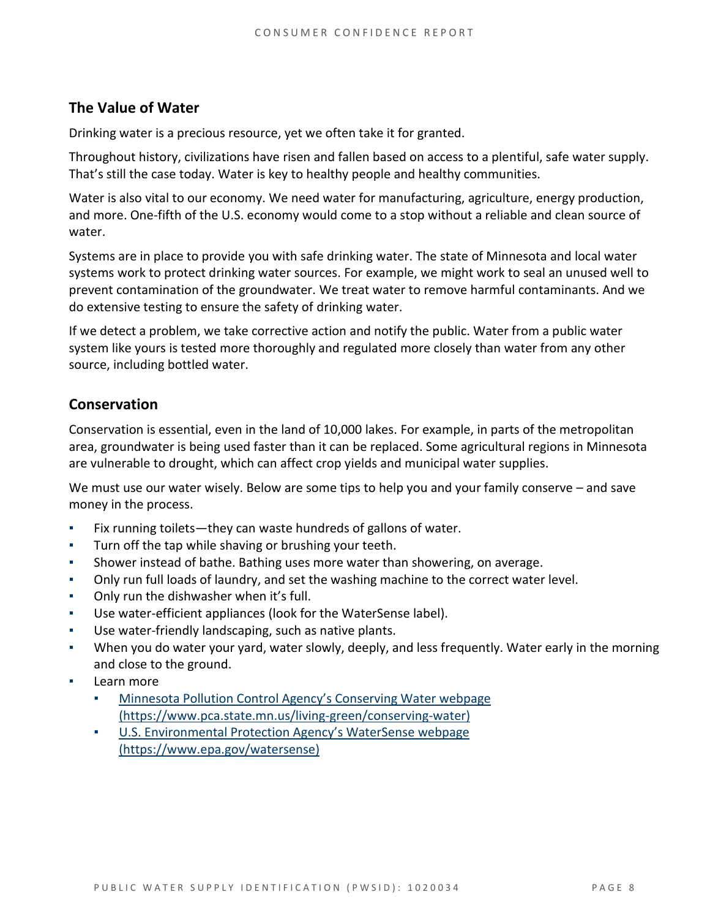### **The Value of Water**

Drinking water is a precious resource, yet we often take it for granted.

Throughout history, civilizations have risen and fallen based on access to a plentiful, safe water supply. That's still the case today. Water is key to healthy people and healthy communities.

Water is also vital to our economy. We need water for manufacturing, agriculture, energy production, and more. One-fifth of the U.S. economy would come to a stop without a reliable and clean source of water.

Systems are in place to provide you with safe drinking water. The state of Minnesota and local water systems work to protect drinking water sources. For example, we might work to seal an unused well to prevent contamination of the groundwater. We treat water to remove harmful contaminants. And we do extensive testing to ensure the safety of drinking water.

If we detect a problem, we take corrective action and notify the public. Water from a public water system like yours is tested more thoroughly and regulated more closely than water from any other source, including bottled water.

### **Conservation**

Conservation is essential, even in the land of 10,000 lakes. For example, in parts of the metropolitan area, groundwater is being used faster than it can be replaced. Some agricultural regions in Minnesota are vulnerable to drought, which can affect crop yields and municipal water supplies.

We must use our water wisely. Below are some tips to help you and your family conserve – and save money in the process.

- Fix running toilets—they can waste hundreds of gallons of water.
- Turn off the tap while shaving or brushing your teeth.
- Shower instead of bathe. Bathing uses more water than showering, on average.
- Only run full loads of laundry, and set the washing machine to the correct water level.
- Only run the dishwasher when it's full.
- Use water-efficient appliances (look for the WaterSense label).
- Use water-friendly landscaping, such as native plants.
- When you do water your yard, water slowly, deeply, and less frequently. Water early in the morning and close to the ground.
- Learn more
	- Minnesota Pollution Control Agency's Conserving Water webpage [\(https://www.pca.state.mn.us/living-green/conserving-water\)](https://www.pca.state.mn.us/living-green/conserving-water)
	- [U.S. Environmental Protection Agency's WaterSe](https://www.epa.gov/watersense)nse webpage [\(https://www.epa.gov/watersense\)](https://www.epa.gov/watersense)